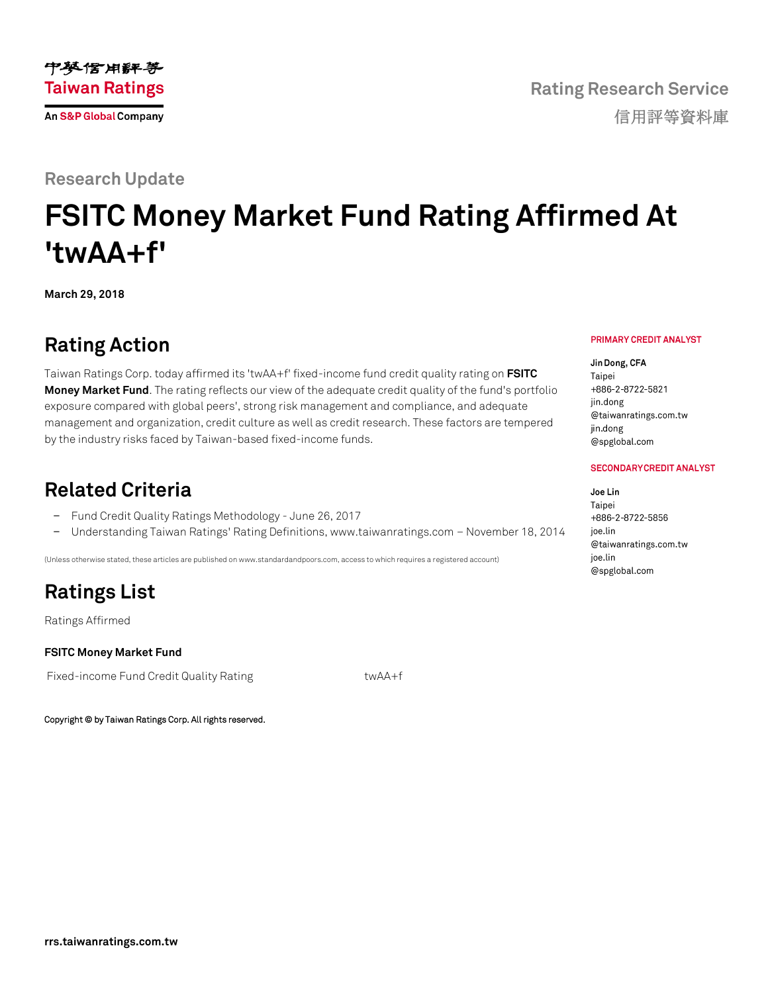

### **Research Update**

# **FSITC Money Market Fund Rating Affirmed At 'twAA+f'**

**March 29, 2018**

### **Rating Action**

Taiwan Ratings Corp. today affirmed its 'twAA+f' fixed-income fund credit quality rating on **[FSITC](https://rrs.taiwanratings.com.tw/portal/member/viewFund/538)  [Money Market Fund](https://rrs.taiwanratings.com.tw/portal/member/viewFund/538)**. The rating reflects our view of the adequate credit quality of the fund's portfolio exposure compared with global peers', strong risk management and compliance, and adequate management and organization, credit culture as well as credit research. These factors are tempered by the industry risks faced by Taiwan-based fixed-income funds.

### **Related Criteria**

- − Fund Credit Quality Ratings Methodology June 26, 2017
- − Understanding Taiwan Ratings' Rating Definitions, www.taiwanratings.com November 18, 2014

(Unless otherwise stated, these articles are published on www.standardandpoors.com, access to which requires a registered account)

## **Ratings List**

Ratings Affirmed

#### **FSITC Money Market Fund**

Fixed-income Fund Credit Quality Rating twaA+f

Copyright © by Taiwan Ratings Corp. All rights reserved.

#### PRIMARY CREDIT ANALYST

Jin Dong, CFA Taipei +886-2-8722-5821 jin.dong @taiwanratings.com.tw jin.dong @spglobal.com

#### **SECONDARY CREDIT ANALYST**

Joe Lin Taipei +886-2-8722-5856 ioe.lin @taiwanratings.com.tw ioe.lin @spglobal.com

**Rating Research Service** 信用評等資料庫